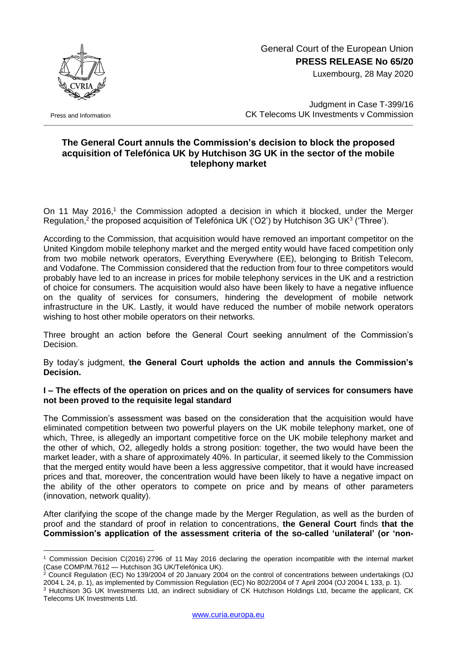

Press and Information

1

# General Court of the European Union **PRESS RELEASE No 65/20**

Luxembourg, 28 May 2020

Judgment in Case T-399/16 CK Telecoms UK Investments v Commission

## **The General Court annuls the Commission's decision to block the proposed acquisition of Telefónica UK by Hutchison 3G UK in the sector of the mobile telephony market**

On 11 May 2016,<sup>1</sup> the Commission adopted a decision in which it blocked, under the Merger Regulation,<sup>2</sup> the proposed acquisition of Telefónica UK ('O2') by Hutchison 3G UK<sup>3</sup> ('Three').

According to the Commission, that acquisition would have removed an important competitor on the United Kingdom mobile telephony market and the merged entity would have faced competition only from two mobile network operators, Everything Everywhere (EE), belonging to British Telecom, and Vodafone. The Commission considered that the reduction from four to three competitors would probably have led to an increase in prices for mobile telephony services in the UK and a restriction of choice for consumers. The acquisition would also have been likely to have a negative influence on the quality of services for consumers, hindering the development of mobile network infrastructure in the UK. Lastly, it would have reduced the number of mobile network operators wishing to host other mobile operators on their networks.

Three brought an action before the General Court seeking annulment of the Commission's Decision.

By today's judgment, **the General Court upholds the action and annuls the Commission's Decision.**

### **I – The effects of the operation on prices and on the quality of services for consumers have not been proved to the requisite legal standard**

The Commission's assessment was based on the consideration that the acquisition would have eliminated competition between two powerful players on the UK mobile telephony market, one of which, Three, is allegedly an important competitive force on the UK mobile telephony market and the other of which, O2, allegedly holds a strong position: together, the two would have been the market leader, with a share of approximately 40%. In particular, it seemed likely to the Commission that the merged entity would have been a less aggressive competitor, that it would have increased prices and that, moreover, the concentration would have been likely to have a negative impact on the ability of the other operators to compete on price and by means of other parameters (innovation, network quality).

After clarifying the scope of the change made by the Merger Regulation, as well as the burden of proof and the standard of proof in relation to concentrations, **the General Court** finds **that the Commission's application of the assessment criteria of the so-called 'unilateral' (or 'non-**

<sup>1</sup> Commission Decision C(2016) 2796 of 11 May 2016 declaring the operation incompatible with the internal market (Case COMP/M.7612 — Hutchison 3G UK/Telefónica UK).

 $^2$  Council Regulation (EC) No 139/2004 of 20 January 2004 on the control of concentrations between undertakings (OJ 2004 L 24, p. 1), as implemented by Commission Regulation (EC) No 802/2004 of 7 April 2004 (OJ 2004 L 133, p. 1).

<sup>3</sup> Hutchison 3G UK Investments Ltd, an indirect subsidiary of CK Hutchison Holdings Ltd, became the applicant, CK Telecoms UK Investments Ltd.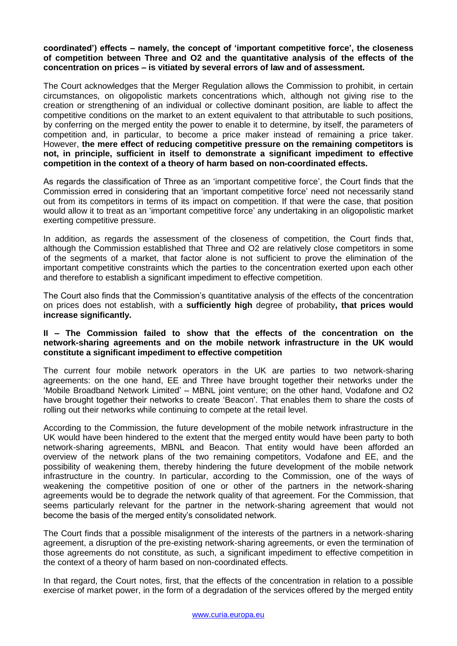#### **coordinated') effects – namely, the concept of 'important competitive force', the closeness of competition between Three and O2 and the quantitative analysis of the effects of the concentration on prices – is vitiated by several errors of law and of assessment.**

The Court acknowledges that the Merger Regulation allows the Commission to prohibit, in certain circumstances, on oligopolistic markets concentrations which, although not giving rise to the creation or strengthening of an individual or collective dominant position, are liable to affect the competitive conditions on the market to an extent equivalent to that attributable to such positions, by conferring on the merged entity the power to enable it to determine, by itself, the parameters of competition and, in particular, to become a price maker instead of remaining a price taker. However, **the mere effect of reducing competitive pressure on the remaining competitors is not, in principle, sufficient in itself to demonstrate a significant impediment to effective competition in the context of a theory of harm based on non-coordinated effects.** 

As regards the classification of Three as an 'important competitive force', the Court finds that the Commission erred in considering that an 'important competitive force' need not necessarily stand out from its competitors in terms of its impact on competition. If that were the case, that position would allow it to treat as an 'important competitive force' any undertaking in an oligopolistic market exerting competitive pressure.

In addition, as regards the assessment of the closeness of competition, the Court finds that, although the Commission established that Three and O2 are relatively close competitors in some of the segments of a market, that factor alone is not sufficient to prove the elimination of the important competitive constraints which the parties to the concentration exerted upon each other and therefore to establish a significant impediment to effective competition.

The Court also finds that the Commission's quantitative analysis of the effects of the concentration on prices does not establish, with a **sufficiently high** degree of probability**, that prices would increase significantly.** 

#### **II – The Commission failed to show that the effects of the concentration on the network-sharing agreements and on the mobile network infrastructure in the UK would constitute a significant impediment to effective competition**

The current four mobile network operators in the UK are parties to two network-sharing agreements: on the one hand, EE and Three have brought together their networks under the 'Mobile Broadband Network Limited' – MBNL joint venture; on the other hand, Vodafone and O2 have brought together their networks to create 'Beacon'. That enables them to share the costs of rolling out their networks while continuing to compete at the retail level.

According to the Commission, the future development of the mobile network infrastructure in the UK would have been hindered to the extent that the merged entity would have been party to both network-sharing agreements, MBNL and Beacon. That entity would have been afforded an overview of the network plans of the two remaining competitors, Vodafone and EE, and the possibility of weakening them, thereby hindering the future development of the mobile network infrastructure in the country. In particular, according to the Commission, one of the ways of weakening the competitive position of one or other of the partners in the network-sharing agreements would be to degrade the network quality of that agreement. For the Commission, that seems particularly relevant for the partner in the network-sharing agreement that would not become the basis of the merged entity's consolidated network.

The Court finds that a possible misalignment of the interests of the partners in a network-sharing agreement, a disruption of the pre-existing network-sharing agreements, or even the termination of those agreements do not constitute, as such, a significant impediment to effective competition in the context of a theory of harm based on non-coordinated effects.

In that regard, the Court notes, first, that the effects of the concentration in relation to a possible exercise of market power, in the form of a degradation of the services offered by the merged entity